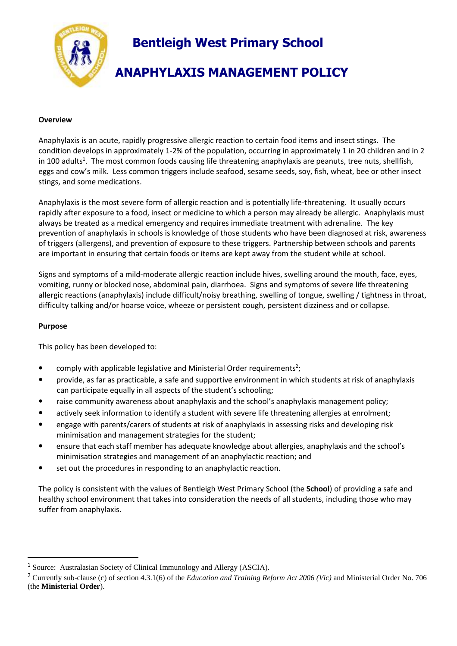

### **Overview**

Anaphylaxis is an acute, rapidly progressive allergic reaction to certain food items and insect stings. The condition develops in approximately 1-2% of the population, occurring in approximately 1 in 20 children and in 2 in 100 adults<sup>1</sup>. The most common foods causing life threatening anaphylaxis are peanuts, tree nuts, shellfish, eggs and cow's milk. Less common triggers include seafood, sesame seeds, soy, fish, wheat, bee or other insect stings, and some medications.

Anaphylaxis is the most severe form of allergic reaction and is potentially life-threatening. It usually occurs rapidly after exposure to a food, insect or medicine to which a person may already be allergic. Anaphylaxis must always be treated as a medical emergency and requires immediate treatment with adrenaline. The key prevention of anaphylaxis in schools is knowledge of those students who have been diagnosed at risk, awareness of triggers (allergens), and prevention of exposure to these triggers. Partnership between schools and parents are important in ensuring that certain foods or items are kept away from the student while at school.

Signs and symptoms of a mild-moderate allergic reaction include hives, swelling around the mouth, face, eyes, vomiting, runny or blocked nose, abdominal pain, diarrhoea. Signs and symptoms of severe life threatening allergic reactions (anaphylaxis) include difficult/noisy breathing, swelling of tongue, swelling / tightness in throat, difficulty talking and/or hoarse voice, wheeze or persistent cough, persistent dizziness and or collapse.

### **Purpose**

 $\overline{a}$ 

This policy has been developed to:

- comply with applicable legislative and Ministerial Order requirements<sup>2</sup>;
- provide, as far as practicable, a safe and supportive environment in which students at risk of anaphylaxis can participate equally in all aspects of the student's schooling;
- raise community awareness about anaphylaxis and the school's anaphylaxis management policy;
- actively seek information to identify a student with severe life threatening allergies at enrolment;
- engage with parents/carers of students at risk of anaphylaxis in assessing risks and developing risk minimisation and management strategies for the student;
- ensure that each staff member has adequate knowledge about allergies, anaphylaxis and the school's minimisation strategies and management of an anaphylactic reaction; and
- set out the procedures in responding to an anaphylactic reaction.

The policy is consistent with the values of Bentleigh West Primary School (the **School**) of providing a safe and healthy school environment that takes into consideration the needs of all students, including those who may suffer from anaphylaxis.

<sup>1</sup> Source: Australasian Society of Clinical Immunology and Allergy (ASCIA).

<sup>2</sup> Currently sub-clause (c) of section 4.3.1(6) of the *Education and Training Reform Act 2006 (Vic)* and Ministerial Order No. 706 (the **Ministerial Order**).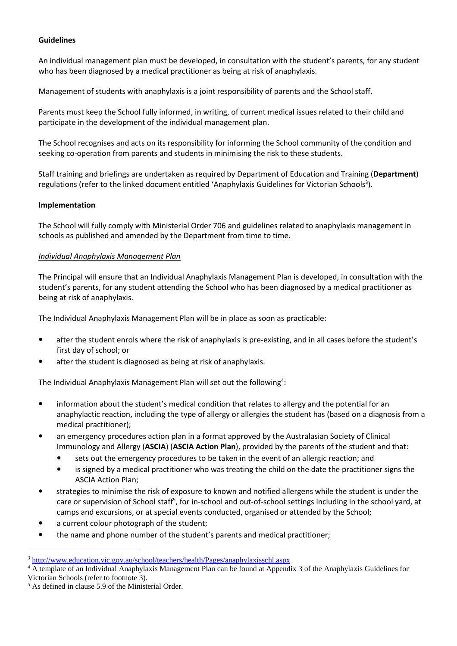### **Guidelines**

An individual management plan must be developed, in consultation with the student's parents, for any student who has been diagnosed by a medical practitioner as being at risk of anaphylaxis.

Management of students with anaphylaxis is a joint responsibility of parents and the School staff.

Parents must keep the School fully informed, in writing, of current medical issues related to their child and participate in the development of the individual management plan.

The School recognises and acts on its responsibility for informing the School community of the condition and seeking co-operation from parents and students in minimising the risk to these students.

<span id="page-1-0"></span>Staff training and briefings are undertaken as required by Department of Education and Training (**Department**) regulations (refer to the linked document entitled 'Anaphylaxis Guidelines for Victorian Schools<sup>3</sup>).

#### **Implementation**

The School will fully comply with Ministerial Order 706 and guidelines related to anaphylaxis management in schools as published and amended by the Department from time to time.

### *Individual Anaphylaxis Management Plan*

The Principal will ensure that an Individual Anaphylaxis Management Plan is developed, in consultation with the student's parents, for any student attending the School who has been diagnosed by a medical practitioner as being at risk of anaphylaxis.

The Individual Anaphylaxis Management Plan will be in place as soon as practicable:

- after the student enrols where the risk of anaphylaxis is pre-existing, and in all cases before the student's first day of school; or
- after the student is diagnosed as being at risk of anaphylaxis.

The Individual Anaphylaxis Management Plan will set out the following<sup>4</sup>:

- information about the student's medical condition that relates to allergy and the potential for an anaphylactic reaction, including the type of allergy or allergies the student has (based on a diagnosis from a medical practitioner);
- an emergency procedures action plan in a format approved by the Australasian Society of Clinical Immunology and Allergy (**ASCIA**) (**ASCIA Action Plan**), provided by the parents of the student and that:
	- sets out the emergency procedures to be taken in the event of an allergic reaction; and
	- is signed by a medical practitioner who was treating the child on the date the practitioner signs the ASCIA Action Plan;
- strategies to minimise the risk of exposure to known and notified allergens while the student is under the care or supervision of School staff<sup>5</sup>, for in-school and out-of-school settings including in the school yard, at camps and excursions, or at special events conducted, organised or attended by the School;
- a current colour photograph of the student;
- the name and phone number of the student's parents and medical practitioner;

 $\overline{a}$ 

<sup>3</sup> <http://www.education.vic.gov.au/school/teachers/health/Pages/anaphylaxisschl.aspx>

<sup>4</sup> A template of an Individual Anaphylaxis Management Plan can be found at Appendix 3 of the Anaphylaxis Guidelines for Victorian Schools (refer to footnote [3\)](#page-1-0).

<sup>5</sup> As defined in clause 5.9 of the Ministerial Order.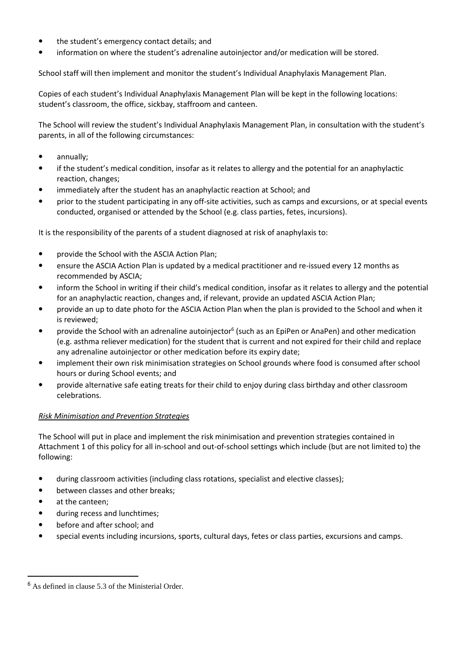- the student's emergency contact details; and
- information on where the student's adrenaline autoinjector and/or medication will be stored.

School staff will then implement and monitor the student's Individual Anaphylaxis Management Plan.

Copies of each student's Individual Anaphylaxis Management Plan will be kept in the following locations: student's classroom, the office, sickbay, staffroom and canteen.

The School will review the student's Individual Anaphylaxis Management Plan, in consultation with the student's parents, in all of the following circumstances:

- annually;
- if the student's medical condition, insofar as it relates to allergy and the potential for an anaphylactic reaction, changes;
- immediately after the student has an anaphylactic reaction at School; and
- prior to the student participating in any off-site activities, such as camps and excursions, or at special events conducted, organised or attended by the School (e.g. class parties, fetes, incursions).

It is the responsibility of the parents of a student diagnosed at risk of anaphylaxis to:

- provide the School with the ASCIA Action Plan;
- ensure the ASCIA Action Plan is updated by a medical practitioner and re-issued every 12 months as recommended by ASCIA;
- inform the School in writing if their child's medical condition, insofar as it relates to allergy and the potential for an anaphylactic reaction, changes and, if relevant, provide an updated ASCIA Action Plan;
- provide an up to date photo for the ASCIA Action Plan when the plan is provided to the School and when it is reviewed;
- provide the School with an adrenaline autoinjector<sup>6</sup> (such as an EpiPen or AnaPen) and other medication (e.g. asthma reliever medication) for the student that is current and not expired for their child and replace any adrenaline autoinjector or other medication before its expiry date;
- implement their own risk minimisation strategies on School grounds where food is consumed after school hours or during School events; and
- provide alternative safe eating treats for their child to enjoy during class birthday and other classroom celebrations.

# *Risk Minimisation and Prevention Strategies*

The School will put in place and implement the risk minimisation and prevention strategies contained in Attachment 1 of this policy for all in-school and out-of-school settings which include (but are not limited to) the following:

- during classroom activities (including class rotations, specialist and elective classes);
- between classes and other breaks;
- at the canteen:

 $\overline{a}$ 

- during recess and lunchtimes;
- before and after school; and
- special events including incursions, sports, cultural days, fetes or class parties, excursions and camps.

<sup>6</sup> As defined in clause 5.3 of the Ministerial Order.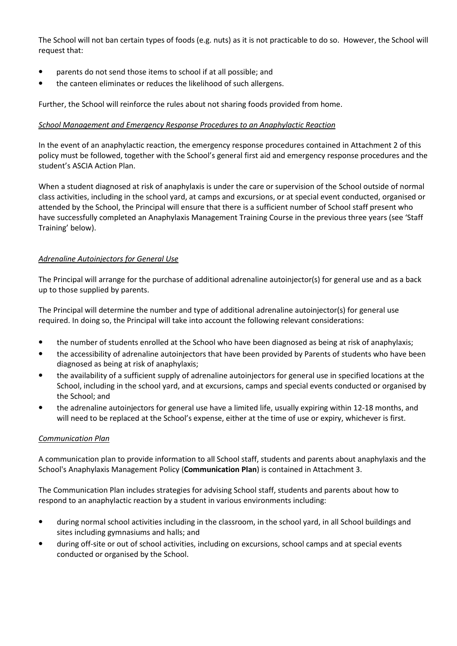The School will not ban certain types of foods (e.g. nuts) as it is not practicable to do so. However, the School will request that:

- parents do not send those items to school if at all possible; and
- the canteen eliminates or reduces the likelihood of such allergens.

Further, the School will reinforce the rules about not sharing foods provided from home.

### *School Management and Emergency Response Procedures to an Anaphylactic Reaction*

In the event of an anaphylactic reaction, the emergency response procedures contained in Attachment 2 of this policy must be followed, together with the School's general first aid and emergency response procedures and the student's ASCIA Action Plan.

When a student diagnosed at risk of anaphylaxis is under the care or supervision of the School outside of normal class activities, including in the school yard, at camps and excursions, or at special event conducted, organised or attended by the School, the Principal will ensure that there is a sufficient number of School staff present who have successfully completed an Anaphylaxis Management Training Course in the previous three years (see 'Staff Training' below).

# *Adrenaline Autoinjectors for General Use*

The Principal will arrange for the purchase of additional adrenaline autoinjector(s) for general use and as a back up to those supplied by parents.

The Principal will determine the number and type of additional adrenaline autoinjector(s) for general use required. In doing so, the Principal will take into account the following relevant considerations:

- the number of students enrolled at the School who have been diagnosed as being at risk of anaphylaxis;
- the accessibility of adrenaline autoinjectors that have been provided by Parents of students who have been diagnosed as being at risk of anaphylaxis;
- the availability of a sufficient supply of adrenaline autoinjectors for general use in specified locations at the School, including in the school yard, and at excursions, camps and special events conducted or organised by the School; and
- the adrenaline autoinjectors for general use have a limited life, usually expiring within 12-18 months, and will need to be replaced at the School's expense, either at the time of use or expiry, whichever is first.

# *Communication Plan*

A communication plan to provide information to all School staff, students and parents about anaphylaxis and the School's Anaphylaxis Management Policy (**Communication Plan**) is contained in Attachment 3.

The Communication Plan includes strategies for advising School staff, students and parents about how to respond to an anaphylactic reaction by a student in various environments including:

- during normal school activities including in the classroom, in the school yard, in all School buildings and sites including gymnasiums and halls; and
- during off-site or out of school activities, including on excursions, school camps and at special events conducted or organised by the School.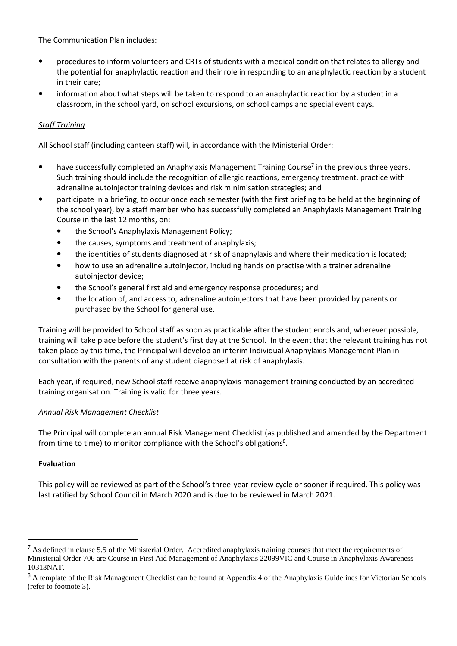The Communication Plan includes:

- procedures to inform volunteers and CRTs of students with a medical condition that relates to allergy and the potential for anaphylactic reaction and their role in responding to an anaphylactic reaction by a student in their care;
- information about what steps will be taken to respond to an anaphylactic reaction by a student in a classroom, in the school yard, on school excursions, on school camps and special event days.

# *Staff Training*

All School staff (including canteen staff) will, in accordance with the Ministerial Order:

- have successfully completed an Anaphylaxis Management Training Course<sup>7</sup> in the previous three years. Such training should include the recognition of allergic reactions, emergency treatment, practice with adrenaline autoinjector training devices and risk minimisation strategies; and
- participate in a briefing, to occur once each semester (with the first briefing to be held at the beginning of the school year), by a staff member who has successfully completed an Anaphylaxis Management Training Course in the last 12 months, on:
	- the School's Anaphylaxis Management Policy;
	- the causes, symptoms and treatment of anaphylaxis;
	- the identities of students diagnosed at risk of anaphylaxis and where their medication is located;
	- how to use an adrenaline autoinjector, including hands on practise with a trainer adrenaline autoinjector device;
	- the School's general first aid and emergency response procedures; and
	- the location of, and access to, adrenaline autoinjectors that have been provided by parents or purchased by the School for general use.

Training will be provided to School staff as soon as practicable after the student enrols and, wherever possible, training will take place before the student's first day at the School. In the event that the relevant training has not taken place by this time, the Principal will develop an interim Individual Anaphylaxis Management Plan in consultation with the parents of any student diagnosed at risk of anaphylaxis.

Each year, if required, new School staff receive anaphylaxis management training conducted by an accredited training organisation. Training is valid for three years.

#### *Annual Risk Management Checklist*

The Principal will complete an annual Risk Management Checklist (as published and amended by the Department from time to time) to monitor compliance with the School's obligations<sup>8</sup>.

#### **Evaluation**

 $\overline{a}$ 

This policy will be reviewed as part of the School's three-year review cycle or sooner if required. This policy was last ratified by School Council in March 2020 and is due to be reviewed in March 2021.

<sup>&</sup>lt;sup>7</sup> As defined in clause 5.5 of the Ministerial Order. Accredited anaphylaxis training courses that meet the requirements of Ministerial Order 706 are Course in First Aid Management of Anaphylaxis 22099VIC and Course in Anaphylaxis Awareness 10313NAT.

<sup>&</sup>lt;sup>8</sup> A template of the Risk Management Checklist can be found at Appendix 4 of the Anaphylaxis Guidelines for Victorian Schools (refer to footnote [3\)](#page-1-0).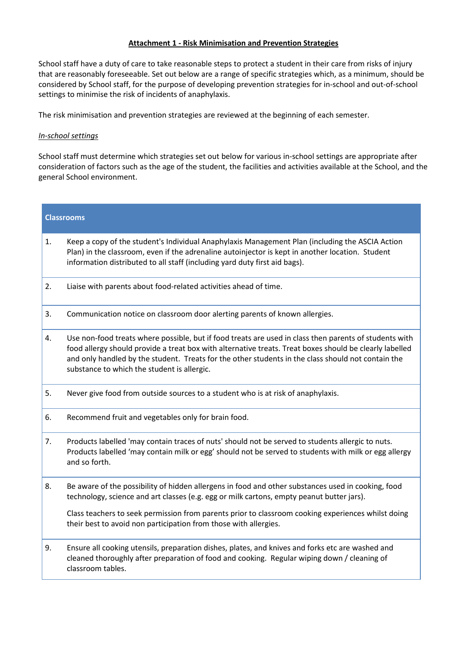### **Attachment 1 - Risk Minimisation and Prevention Strategies**

School staff have a duty of care to take reasonable steps to protect a student in their care from risks of injury that are reasonably foreseeable. Set out below are a range of specific strategies which, as a minimum, should be considered by School staff, for the purpose of developing prevention strategies for in-school and out-of-school settings to minimise the risk of incidents of anaphylaxis.

The risk minimisation and prevention strategies are reviewed at the beginning of each semester.

### *In-school settings*

School staff must determine which strategies set out below for various in-school settings are appropriate after consideration of factors such as the age of the student, the facilities and activities available at the School, and the general School environment.

| 1.<br>Keep a copy of the student's Individual Anaphylaxis Management Plan (including the ASCIA Action<br>Plan) in the classroom, even if the adrenaline autoinjector is kept in another location. Student<br>information distributed to all staff (including yard duty first aid bags).<br>2.<br>Liaise with parents about food-related activities ahead of time.<br>3.<br>Communication notice on classroom door alerting parents of known allergies.<br>Use non-food treats where possible, but if food treats are used in class then parents of students with<br>4.<br>food allergy should provide a treat box with alternative treats. Treat boxes should be clearly labelled<br>and only handled by the student. Treats for the other students in the class should not contain the<br>substance to which the student is allergic.<br>5.<br>Never give food from outside sources to a student who is at risk of anaphylaxis.<br>Recommend fruit and vegetables only for brain food.<br>6.<br>7.<br>Products labelled 'may contain traces of nuts' should not be served to students allergic to nuts.<br>Products labelled 'may contain milk or egg' should not be served to students with milk or egg allergy<br>and so forth.<br>Be aware of the possibility of hidden allergens in food and other substances used in cooking, food<br>8.<br>technology, science and art classes (e.g. egg or milk cartons, empty peanut butter jars).<br>Class teachers to seek permission from parents prior to classroom cooking experiences whilst doing<br>their best to avoid non participation from those with allergies.<br>9.<br>Ensure all cooking utensils, preparation dishes, plates, and knives and forks etc are washed and<br>cleaned thoroughly after preparation of food and cooking. Regular wiping down / cleaning of<br>classroom tables. | <b>Classrooms</b> |  |
|-----------------------------------------------------------------------------------------------------------------------------------------------------------------------------------------------------------------------------------------------------------------------------------------------------------------------------------------------------------------------------------------------------------------------------------------------------------------------------------------------------------------------------------------------------------------------------------------------------------------------------------------------------------------------------------------------------------------------------------------------------------------------------------------------------------------------------------------------------------------------------------------------------------------------------------------------------------------------------------------------------------------------------------------------------------------------------------------------------------------------------------------------------------------------------------------------------------------------------------------------------------------------------------------------------------------------------------------------------------------------------------------------------------------------------------------------------------------------------------------------------------------------------------------------------------------------------------------------------------------------------------------------------------------------------------------------------------------------------------------------------------------------------------------------------------------------------------------------------|-------------------|--|
|                                                                                                                                                                                                                                                                                                                                                                                                                                                                                                                                                                                                                                                                                                                                                                                                                                                                                                                                                                                                                                                                                                                                                                                                                                                                                                                                                                                                                                                                                                                                                                                                                                                                                                                                                                                                                                                     |                   |  |
|                                                                                                                                                                                                                                                                                                                                                                                                                                                                                                                                                                                                                                                                                                                                                                                                                                                                                                                                                                                                                                                                                                                                                                                                                                                                                                                                                                                                                                                                                                                                                                                                                                                                                                                                                                                                                                                     |                   |  |
|                                                                                                                                                                                                                                                                                                                                                                                                                                                                                                                                                                                                                                                                                                                                                                                                                                                                                                                                                                                                                                                                                                                                                                                                                                                                                                                                                                                                                                                                                                                                                                                                                                                                                                                                                                                                                                                     |                   |  |
|                                                                                                                                                                                                                                                                                                                                                                                                                                                                                                                                                                                                                                                                                                                                                                                                                                                                                                                                                                                                                                                                                                                                                                                                                                                                                                                                                                                                                                                                                                                                                                                                                                                                                                                                                                                                                                                     |                   |  |
|                                                                                                                                                                                                                                                                                                                                                                                                                                                                                                                                                                                                                                                                                                                                                                                                                                                                                                                                                                                                                                                                                                                                                                                                                                                                                                                                                                                                                                                                                                                                                                                                                                                                                                                                                                                                                                                     |                   |  |
|                                                                                                                                                                                                                                                                                                                                                                                                                                                                                                                                                                                                                                                                                                                                                                                                                                                                                                                                                                                                                                                                                                                                                                                                                                                                                                                                                                                                                                                                                                                                                                                                                                                                                                                                                                                                                                                     |                   |  |
|                                                                                                                                                                                                                                                                                                                                                                                                                                                                                                                                                                                                                                                                                                                                                                                                                                                                                                                                                                                                                                                                                                                                                                                                                                                                                                                                                                                                                                                                                                                                                                                                                                                                                                                                                                                                                                                     |                   |  |
|                                                                                                                                                                                                                                                                                                                                                                                                                                                                                                                                                                                                                                                                                                                                                                                                                                                                                                                                                                                                                                                                                                                                                                                                                                                                                                                                                                                                                                                                                                                                                                                                                                                                                                                                                                                                                                                     |                   |  |
|                                                                                                                                                                                                                                                                                                                                                                                                                                                                                                                                                                                                                                                                                                                                                                                                                                                                                                                                                                                                                                                                                                                                                                                                                                                                                                                                                                                                                                                                                                                                                                                                                                                                                                                                                                                                                                                     |                   |  |
|                                                                                                                                                                                                                                                                                                                                                                                                                                                                                                                                                                                                                                                                                                                                                                                                                                                                                                                                                                                                                                                                                                                                                                                                                                                                                                                                                                                                                                                                                                                                                                                                                                                                                                                                                                                                                                                     |                   |  |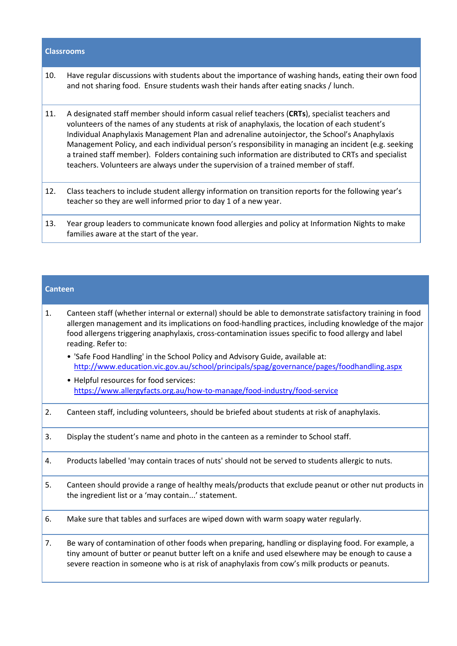#### **Classrooms**

- 10. Have regular discussions with students about the importance of washing hands, eating their own food and not sharing food. Ensure students wash their hands after eating snacks / lunch.
- 11. A designated staff member should inform casual relief teachers (**CRTs**), specialist teachers and volunteers of the names of any students at risk of anaphylaxis, the location of each student's Individual Anaphylaxis Management Plan and adrenaline autoinjector, the School's Anaphylaxis Management Policy, and each individual person's responsibility in managing an incident (e.g. seeking a trained staff member). Folders containing such information are distributed to CRTs and specialist teachers. Volunteers are always under the supervision of a trained member of staff.
- 12. Class teachers to include student allergy information on transition reports for the following year's teacher so they are well informed prior to day 1 of a new year.
- 13. Year group leaders to communicate known food allergies and policy at Information Nights to make families aware at the start of the year.

#### **Canteen**

- 1. Canteen staff (whether internal or external) should be able to demonstrate satisfactory training in food allergen management and its implications on food-handling practices, including knowledge of the major food allergens triggering anaphylaxis, cross-contamination issues specific to food allergy and label reading. Refer to:
	- 'Safe Food Handling' in the School Policy and Advisory Guide, available at: <http://www.education.vic.gov.au/school/principals/spag/governance/pages/foodhandling.aspx>
	- Helpful resources for food services: <https://www.allergyfacts.org.au/how-to-manage/food-industry/food-service>
- 2. Canteen staff, including volunteers, should be briefed about students at risk of anaphylaxis.
- 3. Display the student's name and photo in the canteen as a reminder to School staff.
- 4. Products labelled 'may contain traces of nuts' should not be served to students allergic to nuts.
- 5. Canteen should provide a range of healthy meals/products that exclude peanut or other nut products in the ingredient list or a 'may contain...' statement.
- 6. Make sure that tables and surfaces are wiped down with warm soapy water regularly.
- 7. Be wary of contamination of other foods when preparing, handling or displaying food. For example, a tiny amount of butter or peanut butter left on a knife and used elsewhere may be enough to cause a severe reaction in someone who is at risk of anaphylaxis from cow's milk products or peanuts.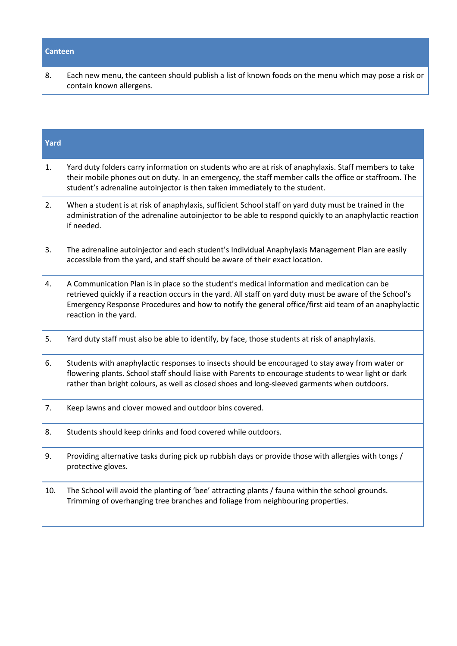# **Canteen**

8. Each new menu, the canteen should publish a list of known foods on the menu which may pose a risk or contain known allergens.

| Yard |                                                                                                                                                                                                                                                                                                                                          |
|------|------------------------------------------------------------------------------------------------------------------------------------------------------------------------------------------------------------------------------------------------------------------------------------------------------------------------------------------|
| 1.   | Yard duty folders carry information on students who are at risk of anaphylaxis. Staff members to take<br>their mobile phones out on duty. In an emergency, the staff member calls the office or staffroom. The<br>student's adrenaline autoinjector is then taken immediately to the student.                                            |
| 2.   | When a student is at risk of anaphylaxis, sufficient School staff on yard duty must be trained in the<br>administration of the adrenaline autoinjector to be able to respond quickly to an anaphylactic reaction<br>if needed.                                                                                                           |
| 3.   | The adrenaline autoinjector and each student's Individual Anaphylaxis Management Plan are easily<br>accessible from the yard, and staff should be aware of their exact location.                                                                                                                                                         |
| 4.   | A Communication Plan is in place so the student's medical information and medication can be<br>retrieved quickly if a reaction occurs in the yard. All staff on yard duty must be aware of the School's<br>Emergency Response Procedures and how to notify the general office/first aid team of an anaphylactic<br>reaction in the yard. |
| 5.   | Yard duty staff must also be able to identify, by face, those students at risk of anaphylaxis.                                                                                                                                                                                                                                           |
| 6.   | Students with anaphylactic responses to insects should be encouraged to stay away from water or<br>flowering plants. School staff should liaise with Parents to encourage students to wear light or dark<br>rather than bright colours, as well as closed shoes and long-sleeved garments when outdoors.                                 |
| 7.   | Keep lawns and clover mowed and outdoor bins covered.                                                                                                                                                                                                                                                                                    |
| 8.   | Students should keep drinks and food covered while outdoors.                                                                                                                                                                                                                                                                             |
| 9.   | Providing alternative tasks during pick up rubbish days or provide those with allergies with tongs /<br>protective gloves.                                                                                                                                                                                                               |
| 10.  | The School will avoid the planting of 'bee' attracting plants / fauna within the school grounds.<br>Trimming of overhanging tree branches and foliage from neighbouring properties.                                                                                                                                                      |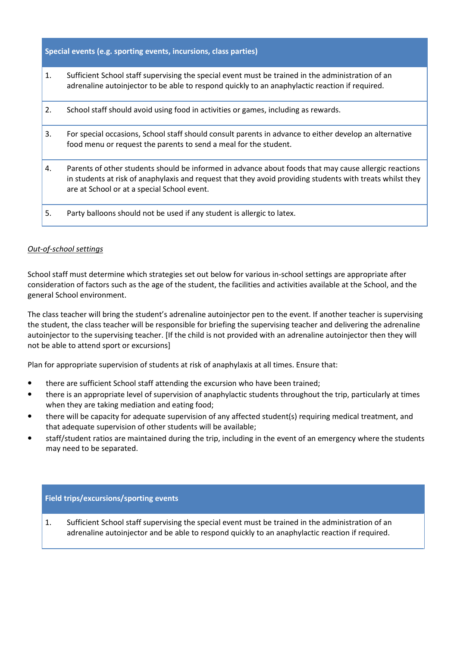**Special events (e.g. sporting events, incursions, class parties)**

1. Sufficient School staff supervising the special event must be trained in the administration of an adrenaline autoinjector to be able to respond quickly to an anaphylactic reaction if required.

| 2. | School staff should avoid using food in activities or games, including as rewards.                                                                                                                                                                                |
|----|-------------------------------------------------------------------------------------------------------------------------------------------------------------------------------------------------------------------------------------------------------------------|
| 3. | For special occasions, School staff should consult parents in advance to either develop an alternative<br>food menu or request the parents to send a meal for the student.                                                                                        |
| 4. | Parents of other students should be informed in advance about foods that may cause allergic reactions<br>in students at risk of anaphylaxis and request that they avoid providing students with treats whilst they<br>are at School or at a special School event. |
| 5. | Party balloons should not be used if any student is allergic to latex.                                                                                                                                                                                            |

#### *Out-of-school settings*

School staff must determine which strategies set out below for various in-school settings are appropriate after consideration of factors such as the age of the student, the facilities and activities available at the School, and the general School environment.

The class teacher will bring the student's adrenaline autoinjector pen to the event. If another teacher is supervising the student, the class teacher will be responsible for briefing the supervising teacher and delivering the adrenaline autoinjector to the supervising teacher. [If the child is not provided with an adrenaline autoinjector then they will not be able to attend sport or excursions]

Plan for appropriate supervision of students at risk of anaphylaxis at all times. Ensure that:

- there are sufficient School staff attending the excursion who have been trained;
- there is an appropriate level of supervision of anaphylactic students throughout the trip, particularly at times when they are taking mediation and eating food;
- there will be capacity for adequate supervision of any affected student(s) requiring medical treatment, and that adequate supervision of other students will be available;
- staff/student ratios are maintained during the trip, including in the event of an emergency where the students may need to be separated.

#### **Field trips/excursions/sporting events**

1. Sufficient School staff supervising the special event must be trained in the administration of an adrenaline autoinjector and be able to respond quickly to an anaphylactic reaction if required.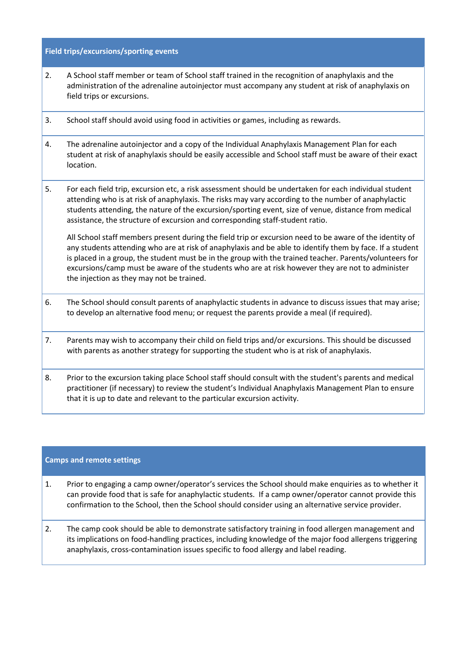### **Field trips/excursions/sporting events**

- 2. A School staff member or team of School staff trained in the recognition of anaphylaxis and the administration of the adrenaline autoinjector must accompany any student at risk of anaphylaxis on field trips or excursions.
- 3. School staff should avoid using food in activities or games, including as rewards.
- 4. The adrenaline autoinjector and a copy of the Individual Anaphylaxis Management Plan for each student at risk of anaphylaxis should be easily accessible and School staff must be aware of their exact location.
- 5. For each field trip, excursion etc, a risk assessment should be undertaken for each individual student attending who is at risk of anaphylaxis. The risks may vary according to the number of anaphylactic students attending, the nature of the excursion/sporting event, size of venue, distance from medical assistance, the structure of excursion and corresponding staff-student ratio.

All School staff members present during the field trip or excursion need to be aware of the identity of any students attending who are at risk of anaphylaxis and be able to identify them by face. If a student is placed in a group, the student must be in the group with the trained teacher. Parents/volunteers for excursions/camp must be aware of the students who are at risk however they are not to administer the injection as they may not be trained.

- 6. The School should consult parents of anaphylactic students in advance to discuss issues that may arise; to develop an alternative food menu; or request the parents provide a meal (if required).
- 7. Parents may wish to accompany their child on field trips and/or excursions. This should be discussed with parents as another strategy for supporting the student who is at risk of anaphylaxis.
- 8. Prior to the excursion taking place School staff should consult with the student's parents and medical practitioner (if necessary) to review the student's Individual Anaphylaxis Management Plan to ensure that it is up to date and relevant to the particular excursion activity.

#### **Camps and remote settings**

- 1. Prior to engaging a camp owner/operator's services the School should make enquiries as to whether it can provide food that is safe for anaphylactic students. If a camp owner/operator cannot provide this confirmation to the School, then the School should consider using an alternative service provider.
- 2. The camp cook should be able to demonstrate satisfactory training in food allergen management and its implications on food-handling practices, including knowledge of the major food allergens triggering anaphylaxis, cross-contamination issues specific to food allergy and label reading.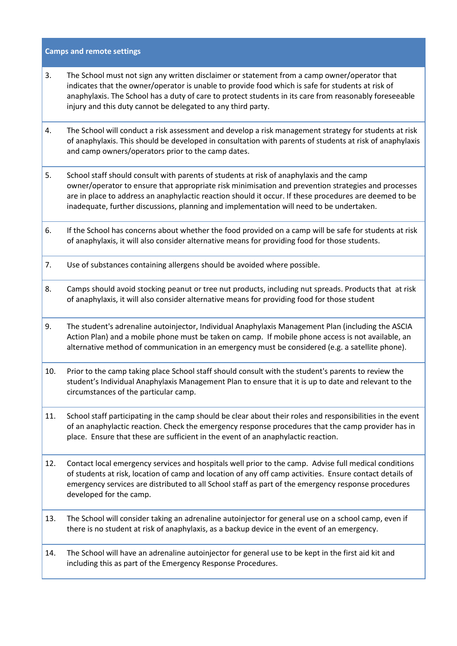#### **Camps and remote settings**

- 3. The School must not sign any written disclaimer or statement from a camp owner/operator that indicates that the owner/operator is unable to provide food which is safe for students at risk of anaphylaxis. The School has a duty of care to protect students in its care from reasonably foreseeable injury and this duty cannot be delegated to any third party.
- 4. The School will conduct a risk assessment and develop a risk management strategy for students at risk of anaphylaxis. This should be developed in consultation with parents of students at risk of anaphylaxis and camp owners/operators prior to the camp dates.
- 5. School staff should consult with parents of students at risk of anaphylaxis and the camp owner/operator to ensure that appropriate risk minimisation and prevention strategies and processes are in place to address an anaphylactic reaction should it occur. If these procedures are deemed to be inadequate, further discussions, planning and implementation will need to be undertaken.
- 6. If the School has concerns about whether the food provided on a camp will be safe for students at risk of anaphylaxis, it will also consider alternative means for providing food for those students.
- 7. Use of substances containing allergens should be avoided where possible.
- 8. Camps should avoid stocking peanut or tree nut products, including nut spreads. Products that at risk of anaphylaxis, it will also consider alternative means for providing food for those student
- 9. The student's adrenaline autoinjector, Individual Anaphylaxis Management Plan (including the ASCIA Action Plan) and a mobile phone must be taken on camp. If mobile phone access is not available, an alternative method of communication in an emergency must be considered (e.g. a satellite phone).
- 10. Prior to the camp taking place School staff should consult with the student's parents to review the student's Individual Anaphylaxis Management Plan to ensure that it is up to date and relevant to the circumstances of the particular camp.
- 11. School staff participating in the camp should be clear about their roles and responsibilities in the event of an anaphylactic reaction. Check the emergency response procedures that the camp provider has in place. Ensure that these are sufficient in the event of an anaphylactic reaction.
- 12. Contact local emergency services and hospitals well prior to the camp. Advise full medical conditions of students at risk, location of camp and location of any off camp activities. Ensure contact details of emergency services are distributed to all School staff as part of the emergency response procedures developed for the camp.
- 13. The School will consider taking an adrenaline autoinjector for general use on a school camp, even if there is no student at risk of anaphylaxis, as a backup device in the event of an emergency.
- 14. The School will have an adrenaline autoinjector for general use to be kept in the first aid kit and including this as part of the Emergency Response Procedures.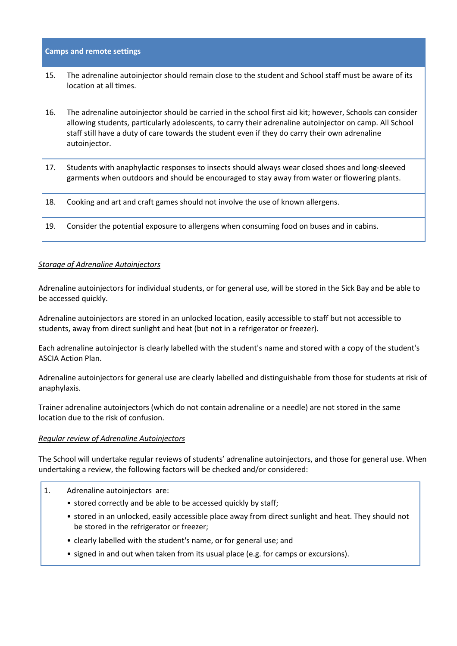**Camps and remote settings**

- 15. The adrenaline autoinjector should remain close to the student and School staff must be aware of its location at all times.
- 16. The adrenaline autoinjector should be carried in the school first aid kit; however, Schools can consider allowing students, particularly adolescents, to carry their adrenaline autoinjector on camp. All School staff still have a duty of care towards the student even if they do carry their own adrenaline autoinjector.

| 17. | Students with anaphylactic responses to insects should always wear closed shoes and long-sleeved<br>garments when outdoors and should be encouraged to stay away from water or flowering plants. |
|-----|--------------------------------------------------------------------------------------------------------------------------------------------------------------------------------------------------|
| 18. | Cooking and art and craft games should not involve the use of known allergens.                                                                                                                   |
| 19. | Consider the potential exposure to allergens when consuming food on buses and in cabins.                                                                                                         |

# *Storage of Adrenaline Autoinjectors*

Adrenaline autoinjectors for individual students, or for general use, will be stored in the Sick Bay and be able to be accessed quickly.

Adrenaline autoinjectors are stored in an unlocked location, easily accessible to staff but not accessible to students, away from direct sunlight and heat (but not in a refrigerator or freezer).

Each adrenaline autoinjector is clearly labelled with the student's name and stored with a copy of the student's ASCIA Action Plan.

Adrenaline autoinjectors for general use are clearly labelled and distinguishable from those for students at risk of anaphylaxis.

Trainer adrenaline autoinjectors (which do not contain adrenaline or a needle) are not stored in the same location due to the risk of confusion.

#### *Regular review of Adrenaline Autoinjectors*

The School will undertake regular reviews of students' adrenaline autoinjectors, and those for general use. When undertaking a review, the following factors will be checked and/or considered:

- 1. Adrenaline autoinjectors are:
	- stored correctly and be able to be accessed quickly by staff;
	- stored in an unlocked, easily accessible place away from direct sunlight and heat. They should not be stored in the refrigerator or freezer;
	- clearly labelled with the student's name, or for general use; and
	- signed in and out when taken from its usual place (e.g. for camps or excursions).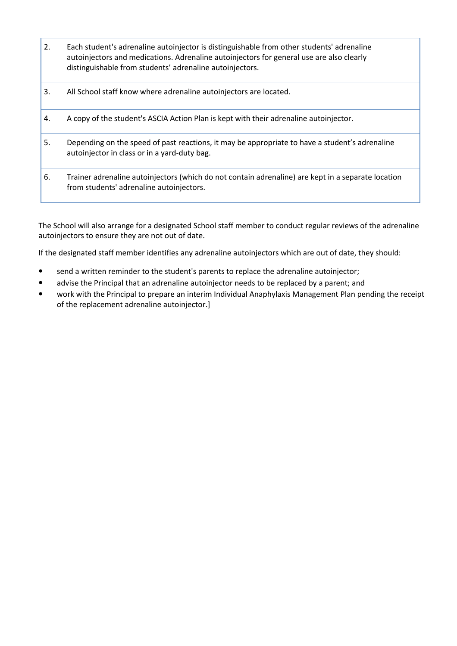| 2. | Each student's adrenaline autoinjector is distinguishable from other students' adrenaline<br>autoinjectors and medications. Adrenaline autoinjectors for general use are also clearly<br>distinguishable from students' adrenaline autoinjectors. |
|----|---------------------------------------------------------------------------------------------------------------------------------------------------------------------------------------------------------------------------------------------------|
| 3. | All School staff know where adrenaline autoinjectors are located.                                                                                                                                                                                 |
| 4. | A copy of the student's ASCIA Action Plan is kept with their adrenaline autoinjector.                                                                                                                                                             |
| 5. | Depending on the speed of past reactions, it may be appropriate to have a student's adrenaline<br>autoinjector in class or in a yard-duty bag.                                                                                                    |
| 6. | Trainer adrenaline autoinjectors (which do not contain adrenaline) are kept in a separate location<br>from students' adrenaline autoinjectors.                                                                                                    |

The School will also arrange for a designated School staff member to conduct regular reviews of the adrenaline autoinjectors to ensure they are not out of date.

If the designated staff member identifies any adrenaline autoinjectors which are out of date, they should:

- send a written reminder to the student's parents to replace the adrenaline autoinjector;
- advise the Principal that an adrenaline autoinjector needs to be replaced by a parent; and
- work with the Principal to prepare an interim Individual Anaphylaxis Management Plan pending the receipt of the replacement adrenaline autoinjector.]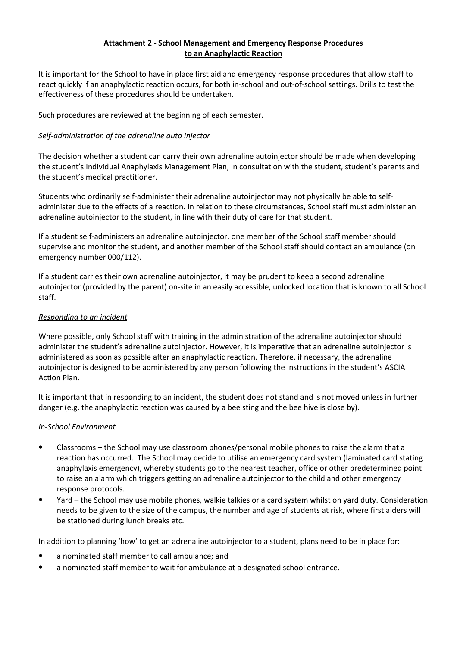### **Attachment 2 - School Management and Emergency Response Procedures to an Anaphylactic Reaction**

It is important for the School to have in place first aid and emergency response procedures that allow staff to react quickly if an anaphylactic reaction occurs, for both in-school and out-of-school settings. Drills to test the effectiveness of these procedures should be undertaken.

Such procedures are reviewed at the beginning of each semester.

# *Self-administration of the adrenaline auto injector*

The decision whether a student can carry their own adrenaline autoinjector should be made when developing the student's Individual Anaphylaxis Management Plan, in consultation with the student, student's parents and the student's medical practitioner.

Students who ordinarily self-administer their adrenaline autoinjector may not physically be able to selfadminister due to the effects of a reaction. In relation to these circumstances, School staff must administer an adrenaline autoinjector to the student, in line with their duty of care for that student.

If a student self-administers an adrenaline autoinjector, one member of the School staff member should supervise and monitor the student, and another member of the School staff should contact an ambulance (on emergency number 000/112).

If a student carries their own adrenaline autoinjector, it may be prudent to keep a second adrenaline autoinjector (provided by the parent) on-site in an easily accessible, unlocked location that is known to all School staff.

### *Responding to an incident*

Where possible, only School staff with training in the administration of the adrenaline autoinjector should administer the student's adrenaline autoinjector. However, it is imperative that an adrenaline autoinjector is administered as soon as possible after an anaphylactic reaction. Therefore, if necessary, the adrenaline autoinjector is designed to be administered by any person following the instructions in the student's ASCIA Action Plan.

It is important that in responding to an incident, the student does not stand and is not moved unless in further danger (e.g. the anaphylactic reaction was caused by a bee sting and the bee hive is close by).

# *In-School Environment*

- Classrooms the School may use classroom phones/personal mobile phones to raise the alarm that a reaction has occurred. The School may decide to utilise an emergency card system (laminated card stating anaphylaxis emergency), whereby students go to the nearest teacher, office or other predetermined point to raise an alarm which triggers getting an adrenaline autoinjector to the child and other emergency response protocols.
- Yard the School may use mobile phones, walkie talkies or a card system whilst on yard duty. Consideration needs to be given to the size of the campus, the number and age of students at risk, where first aiders will be stationed during lunch breaks etc.

In addition to planning 'how' to get an adrenaline autoinjector to a student, plans need to be in place for:

- a nominated staff member to call ambulance; and
- a nominated staff member to wait for ambulance at a designated school entrance.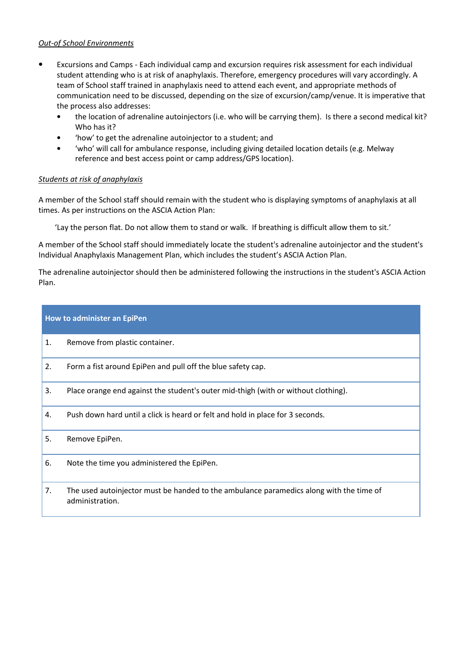### *Out-of School Environments*

- Excursions and Camps Each individual camp and excursion requires risk assessment for each individual student attending who is at risk of anaphylaxis. Therefore, emergency procedures will vary accordingly. A team of School staff trained in anaphylaxis need to attend each event, and appropriate methods of communication need to be discussed, depending on the size of excursion/camp/venue. It is imperative that the process also addresses:
	- the location of adrenaline autoinjectors (i.e. who will be carrying them). Is there a second medical kit? Who has it?
	- 'how' to get the adrenaline autoinjector to a student; and
	- 'who' will call for ambulance response, including giving detailed location details (e.g. Melway reference and best access point or camp address/GPS location).

# *Students at risk of anaphylaxis*

A member of the School staff should remain with the student who is displaying symptoms of anaphylaxis at all times. As per instructions on the ASCIA Action Plan:

'Lay the person flat. Do not allow them to stand or walk. If breathing is difficult allow them to sit.'

A member of the School staff should immediately locate the student's adrenaline autoinjector and the student's Individual Anaphylaxis Management Plan, which includes the student's ASCIA Action Plan.

The adrenaline autoinjector should then be administered following the instructions in the student's ASCIA Action Plan.

### **How to administer an EpiPen**

- 1. Remove from plastic container.
- 2. Form a fist around EpiPen and pull off the blue safety cap.
- 3. Place orange end against the student's outer mid-thigh (with or without clothing).
- 4. Push down hard until a click is heard or felt and hold in place for 3 seconds.

#### 5. Remove EpiPen.

- 6. Note the time you administered the EpiPen.
- 7. The used autoinjector must be handed to the ambulance paramedics along with the time of administration.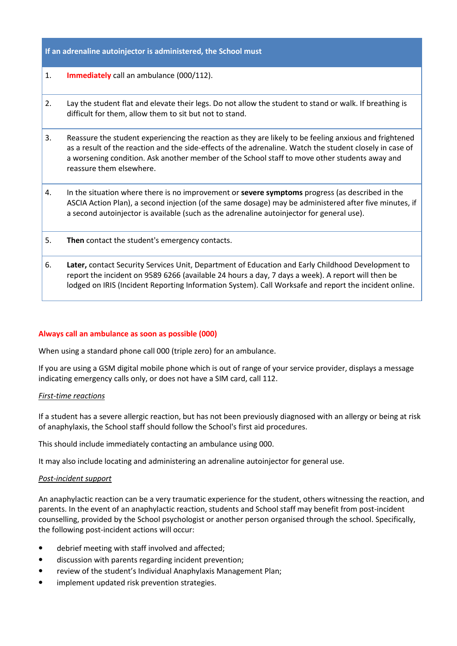### **If an adrenaline autoinjector is administered, the School must**

- 1. **Immediately** call an ambulance (000/112).
- 2. Lay the student flat and elevate their legs. Do not allow the student to stand or walk. If breathing is difficult for them, allow them to sit but not to stand.
- 3. Reassure the student experiencing the reaction as they are likely to be feeling anxious and frightened as a result of the reaction and the side-effects of the adrenaline. Watch the student closely in case of a worsening condition. Ask another member of the School staff to move other students away and reassure them elsewhere.
- 4. In the situation where there is no improvement or **severe symptoms** progress (as described in the ASCIA Action Plan), a second injection (of the same dosage) may be administered after five minutes, if a second autoinjector is available (such as the adrenaline autoinjector for general use).
- 5. **Then** contact the student's emergency contacts.
- 6. **Later,** contact Security Services Unit, Department of Education and Early Childhood Development to report the incident on 9589 6266 (available 24 hours a day, 7 days a week). A report will then be lodged on IRIS (Incident Reporting Information System). Call Worksafe and report the incident online.

#### **Always call an ambulance as soon as possible (000)**

When using a standard phone call 000 (triple zero) for an ambulance.

If you are using a GSM digital mobile phone which is out of range of your service provider, displays a message indicating emergency calls only, or does not have a SIM card, call 112.

#### *First-time reactions*

If a student has a severe allergic reaction, but has not been previously diagnosed with an allergy or being at risk of anaphylaxis, the School staff should follow the School's first aid procedures.

This should include immediately contacting an ambulance using 000.

It may also include locating and administering an adrenaline autoinjector for general use.

#### *Post-incident support*

An anaphylactic reaction can be a very traumatic experience for the student, others witnessing the reaction, and parents. In the event of an anaphylactic reaction, students and School staff may benefit from post-incident counselling, provided by the School psychologist or another person organised through the school. Specifically, the following post-incident actions will occur:

- debrief meeting with staff involved and affected;
- discussion with parents regarding incident prevention;
- review of the student's Individual Anaphylaxis Management Plan;
- implement updated risk prevention strategies.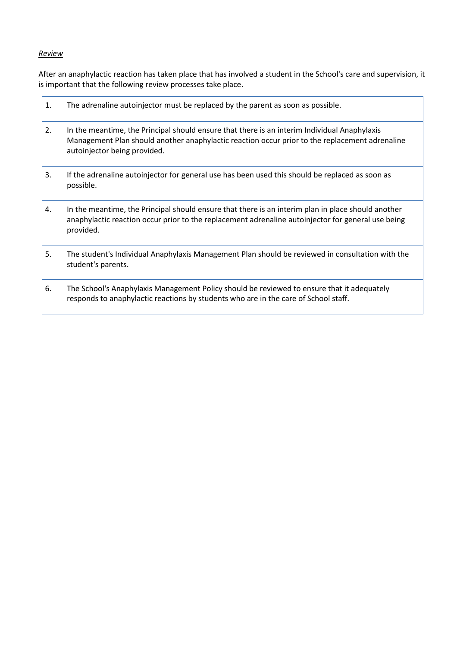# *Review*

After an anaphylactic reaction has taken place that has involved a student in the School's care and supervision, it is important that the following review processes take place.

| 1. | The adrenaline autoinjector must be replaced by the parent as soon as possible.                                                                                                                                                |
|----|--------------------------------------------------------------------------------------------------------------------------------------------------------------------------------------------------------------------------------|
| 2. | In the meantime, the Principal should ensure that there is an interim Individual Anaphylaxis<br>Management Plan should another anaphylactic reaction occur prior to the replacement adrenaline<br>autoinjector being provided. |
| 3. | If the adrenaline autoinjector for general use has been used this should be replaced as soon as<br>possible.                                                                                                                   |
| 4. | In the meantime, the Principal should ensure that there is an interim plan in place should another<br>anaphylactic reaction occur prior to the replacement adrenaline autoinjector for general use being<br>provided.          |
| 5. | The student's Individual Anaphylaxis Management Plan should be reviewed in consultation with the<br>student's parents.                                                                                                         |
| 6. | The School's Anaphylaxis Management Policy should be reviewed to ensure that it adequately<br>responds to anaphylactic reactions by students who are in the care of School staff.                                              |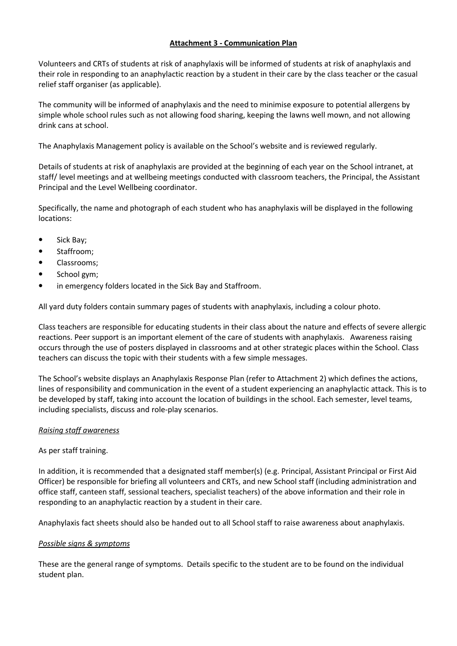# **Attachment 3 - Communication Plan**

Volunteers and CRTs of students at risk of anaphylaxis will be informed of students at risk of anaphylaxis and their role in responding to an anaphylactic reaction by a student in their care by the class teacher or the casual relief staff organiser (as applicable).

The community will be informed of anaphylaxis and the need to minimise exposure to potential allergens by simple whole school rules such as not allowing food sharing, keeping the lawns well mown, and not allowing drink cans at school.

The Anaphylaxis Management policy is available on the School's website and is reviewed regularly.

Details of students at risk of anaphylaxis are provided at the beginning of each year on the School intranet, at staff/ level meetings and at wellbeing meetings conducted with classroom teachers, the Principal, the Assistant Principal and the Level Wellbeing coordinator.

Specifically, the name and photograph of each student who has anaphylaxis will be displayed in the following locations:

- Sick Bay;
- Staffroom;
- Classrooms;
- School gym;
- in emergency folders located in the Sick Bay and Staffroom.

All yard duty folders contain summary pages of students with anaphylaxis, including a colour photo.

Class teachers are responsible for educating students in their class about the nature and effects of severe allergic reactions. Peer support is an important element of the care of students with anaphylaxis. Awareness raising occurs through the use of posters displayed in classrooms and at other strategic places within the School. Class teachers can discuss the topic with their students with a few simple messages.

The School's website displays an Anaphylaxis Response Plan (refer to Attachment 2) which defines the actions, lines of responsibility and communication in the event of a student experiencing an anaphylactic attack. This is to be developed by staff, taking into account the location of buildings in the school. Each semester, level teams, including specialists, discuss and role-play scenarios.

#### *Raising staff awareness*

# As per staff training.

In addition, it is recommended that a designated staff member(s) (e.g. Principal, Assistant Principal or First Aid Officer) be responsible for briefing all volunteers and CRTs, and new School staff (including administration and office staff, canteen staff, sessional teachers, specialist teachers) of the above information and their role in responding to an anaphylactic reaction by a student in their care.

Anaphylaxis fact sheets should also be handed out to all School staff to raise awareness about anaphylaxis.

#### *Possible signs & symptoms*

These are the general range of symptoms. Details specific to the student are to be found on the individual student plan.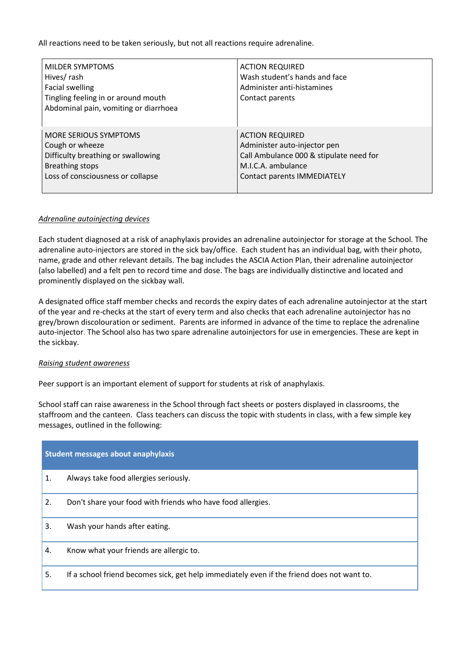All reactions need to be taken seriously, but not all reactions require adrenaline.

| MILDER SYMPTOMS<br>Hives/rash<br><b>Facial swelling</b><br>Tingling feeling in or around mouth<br>Abdominal pain, vomiting or diarrhoea | <b>ACTION REQUIRED</b><br>Wash student's hands and face<br>Administer anti-histamines<br>Contact parents |
|-----------------------------------------------------------------------------------------------------------------------------------------|----------------------------------------------------------------------------------------------------------|
| <b>MORE SERIOUS SYMPTOMS</b>                                                                                                            | <b>ACTION REQUIRED</b>                                                                                   |
| Cough or wheeze                                                                                                                         | Administer auto-injector pen                                                                             |
| Difficulty breathing or swallowing                                                                                                      | Call Ambulance 000 & stipulate need for                                                                  |
| <b>Breathing stops</b>                                                                                                                  | M.I.C.A. ambulance                                                                                       |
| Loss of consciousness or collapse                                                                                                       | <b>Contact parents IMMEDIATELY</b>                                                                       |

### *Adrenaline autoinjecting devices*

Each student diagnosed at a risk of anaphylaxis provides an adrenaline autoinjector for storage at the School. The adrenaline auto-injectors are stored in the sick bay/office. Each student has an individual bag, with their photo, name, grade and other relevant details. The bag includes the ASCIA Action Plan, their adrenaline autoinjector (also labelled) and a felt pen to record time and dose. The bags are individually distinctive and located and prominently displayed on the sickbay wall.

A designated office staff member checks and records the expiry dates of each adrenaline autoinjector at the start of the year and re-checks at the start of every term and also checks that each adrenaline autoinjector has no grey/brown discolouration or sediment. Parents are informed in advance of the time to replace the adrenaline auto-injector. The School also has two spare adrenaline autoinjectors for use in emergencies. These are kept in the sickbay.

# *Raising student awareness*

Peer support is an important element of support for students at risk of anaphylaxis.

School staff can raise awareness in the School through fact sheets or posters displayed in classrooms, the staffroom and the canteen. Class teachers can discuss the topic with students in class, with a few simple key messages, outlined in the following:

| <b>Student messages about anaphylaxis</b> |                                                                                            |  |
|-------------------------------------------|--------------------------------------------------------------------------------------------|--|
| 1.                                        | Always take food allergies seriously.                                                      |  |
| 2.                                        | Don't share your food with friends who have food allergies.                                |  |
| 3.                                        | Wash your hands after eating.                                                              |  |
| 4.                                        | Know what your friends are allergic to.                                                    |  |
| 5.                                        | If a school friend becomes sick, get help immediately even if the friend does not want to. |  |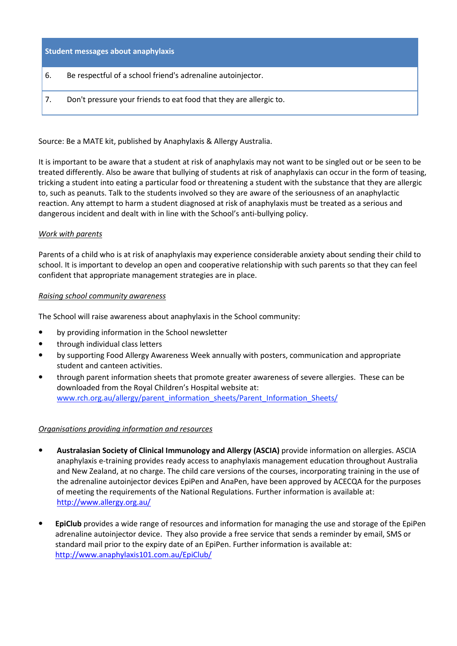#### **Student messages about anaphylaxis**

- 6. Be respectful of a school friend's adrenaline autoinjector.
- 7. Don't pressure your friends to eat food that they are allergic to.

Source: Be a MATE kit, published by Anaphylaxis & Allergy Australia.

It is important to be aware that a student at risk of anaphylaxis may not want to be singled out or be seen to be treated differently. Also be aware that bullying of students at risk of anaphylaxis can occur in the form of teasing, tricking a student into eating a particular food or threatening a student with the substance that they are allergic to, such as peanuts. Talk to the students involved so they are aware of the seriousness of an anaphylactic reaction. Any attempt to harm a student diagnosed at risk of anaphylaxis must be treated as a serious and dangerous incident and dealt with in line with the School's anti-bullying policy.

#### *Work with parents*

Parents of a child who is at risk of anaphylaxis may experience considerable anxiety about sending their child to school. It is important to develop an open and cooperative relationship with such parents so that they can feel confident that appropriate management strategies are in place.

#### *Raising school community awareness*

The School will raise awareness about anaphylaxis in the School community:

- by providing information in the School newsletter
- through individual class letters
- by supporting Food Allergy Awareness Week annually with posters, communication and appropriate student and canteen activities.
- through parent information sheets that promote greater awareness of severe allergies. These can be downloaded from the Royal Children's Hospital website at: [www.rch.org.au/allergy/parent\\_information\\_sheets/Parent\\_Information\\_Sheets/](http://www.rch.org.au/allergy/parent_information_sheets/Parent_Information_Sheets/)

#### *Organisations providing information and resources*

- **Australasian Society of Clinical Immunology and Allergy (ASCIA)** provide information on allergies. ASCIA anaphylaxis e-training provides ready access to anaphylaxis management education throughout Australia and New Zealand, at no charge. The child care versions of the courses, incorporating training in the use of the adrenaline autoinjector devices EpiPen and AnaPen, have been approved by ACECQA for the purposes of meeting the requirements of the National Regulations. Further information is available at: <http://www.allergy.org.au/>
- **EpiClub** provides a wide range of resources and information for managing the use and storage of the EpiPen adrenaline autoinjector device. They also provide a free service that sends a reminder by email, SMS or standard mail prior to the expiry date of an EpiPen. Further information is available at: <http://www.anaphylaxis101.com.au/EpiClub/>